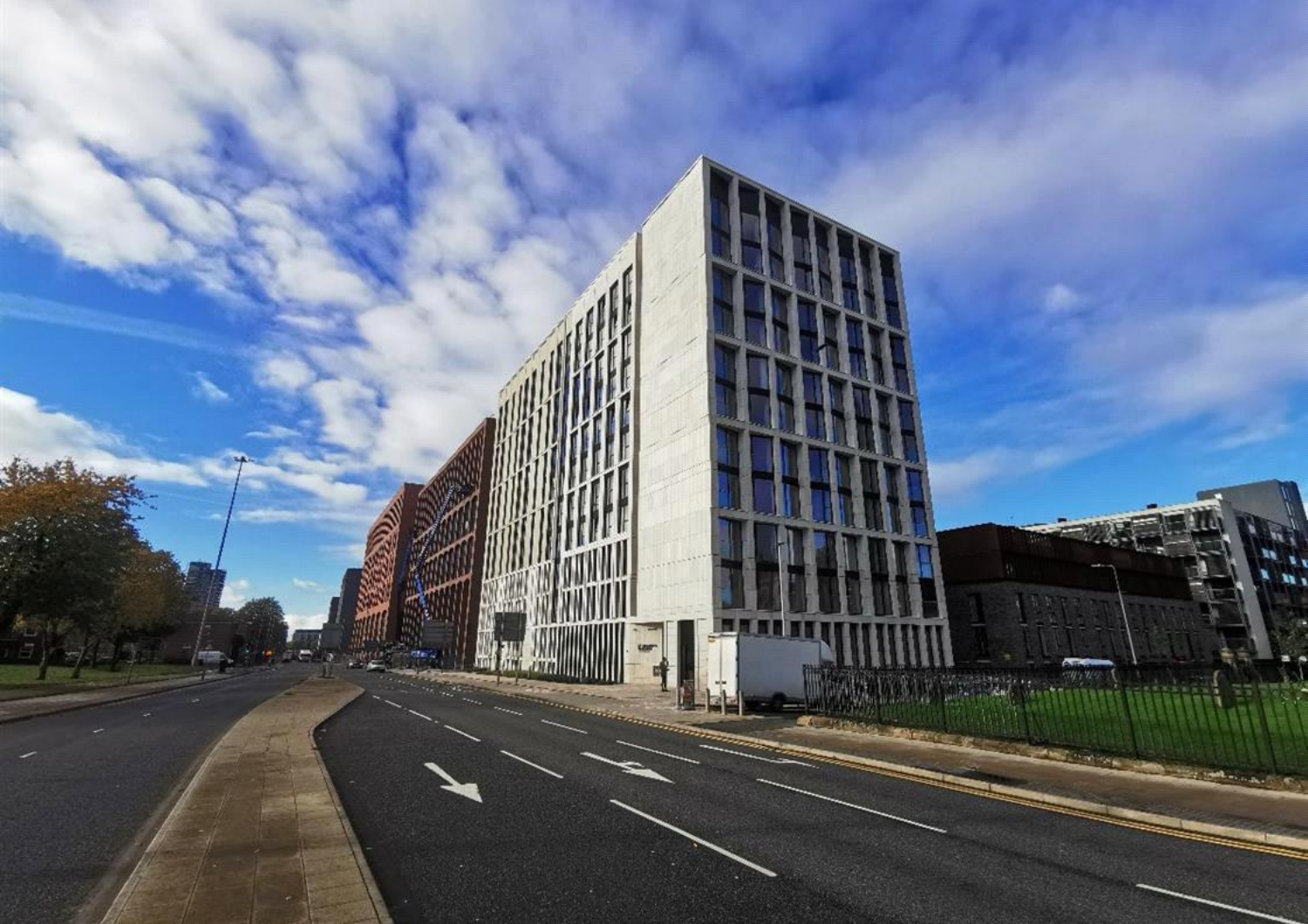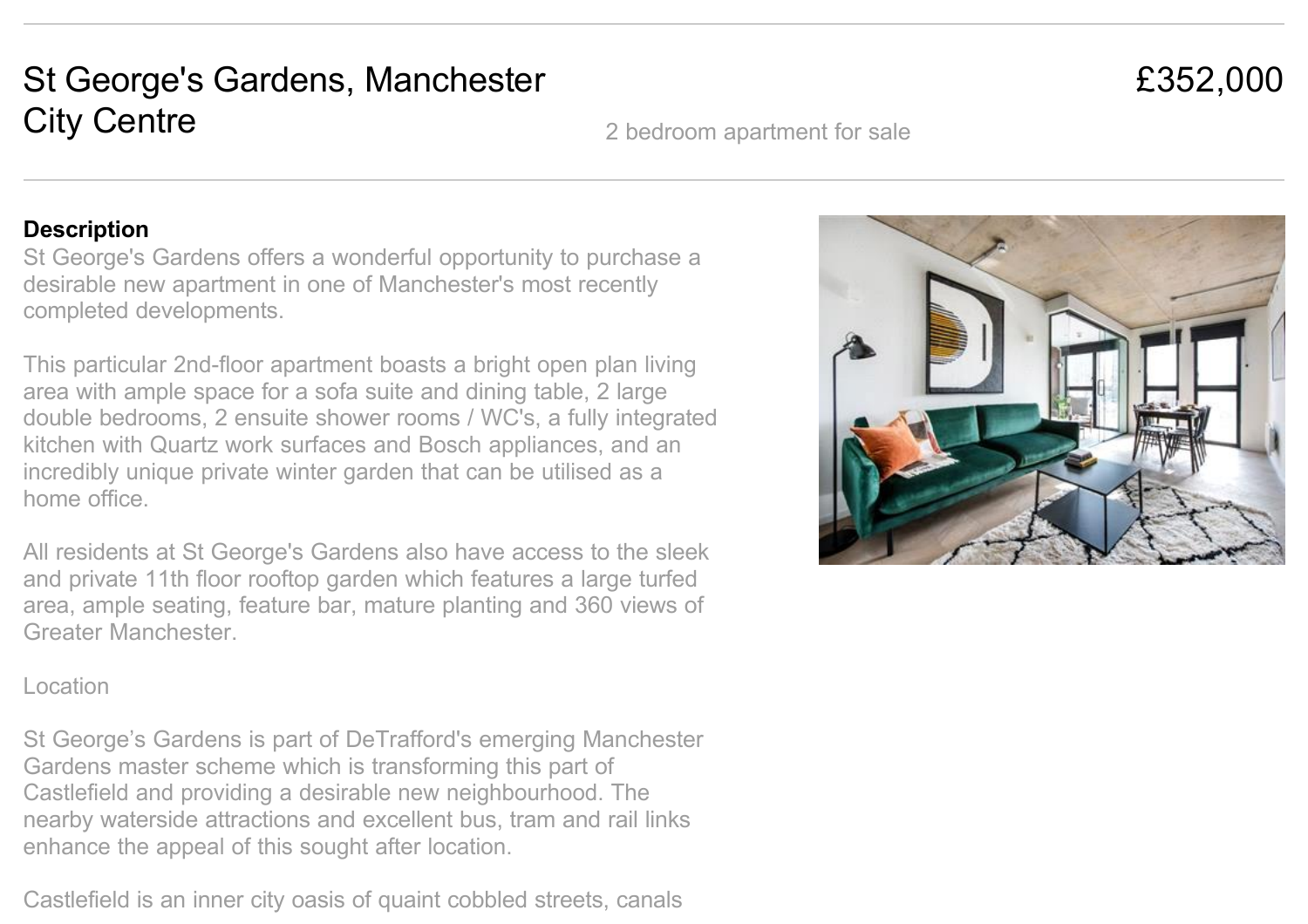# St George's Gardens, Manchester City Centre

2 bedroom apartment for sale

## **Description**

 St George's Gardens offers a wonderful opportunity to purchase a desirable new apartment in one of Manchester's most recently completed developments.

This particular 2nd-floor apartment boasts a bright open plan living area with ample space for a sofa suite and dining table, 2 large double bedrooms, 2 ensuite shower rooms / WC's, a fully integrated kitchen with Quartz work surfaces and Bosch appliances, and an incredibly unique private winter garden that can be utilised as a home office.

All residents at St George's Gardens also have access to the sleek and private 11th floor rooftop garden which features a large turfed area, ample seating, feature bar, mature planting and 360 views of Greater Manchester.

#### Location

St George's Gardens is part of DeTrafford's emerging Manchester Gardens master scheme which is transforming this part of Castlefield and providing a desirable new neighbourhood. The nearby waterside attractions and excellent bus, tram and rail links enhance the appeal of this sought after location.

Castlefield is an inner city oasis of quaint cobbled streets, canals



## £352,000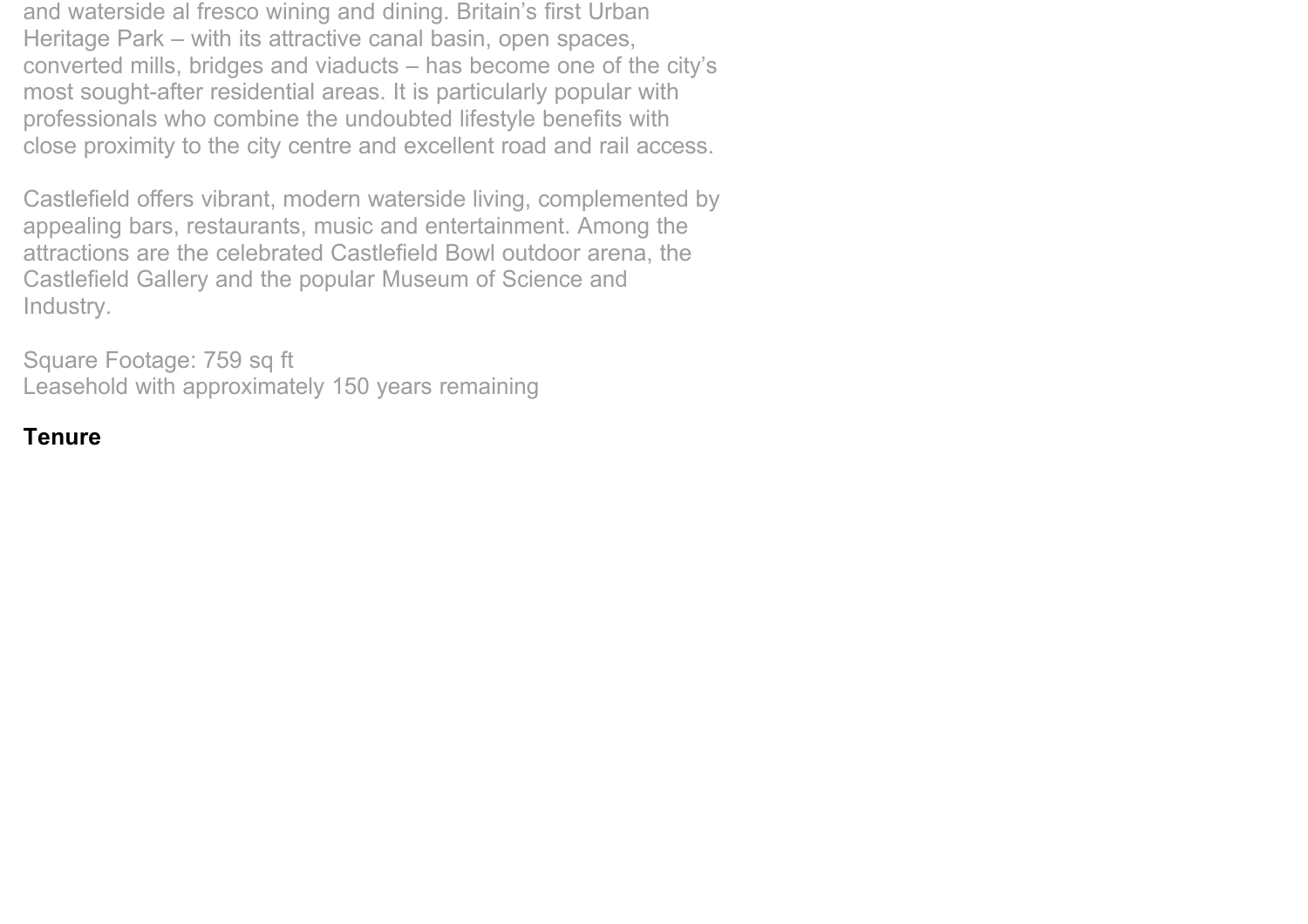and waterside al fresco wining and dining. Britain's first Urban Heritage Park – with its attractive canal basin, open spaces, converted mills, bridges and viaducts – has become one of the city's most sought-after residential areas. It is particularly popular with professionals who combine the undoubted lifestyle benefits with close proximity to the city centre and excellent road and rail access.

Castlefield offers vibrant, modern waterside living, complemented by appealing bars, restaurants, music and entertainment. Among the attractions are the celebrated Castlefield Bowl outdoor arena, the Castlefield Gallery and the popular Museum of Science and Industry.

Square Footage: 759 sq ftLeasehold with approximately 150 years remaining

### **Tenure**